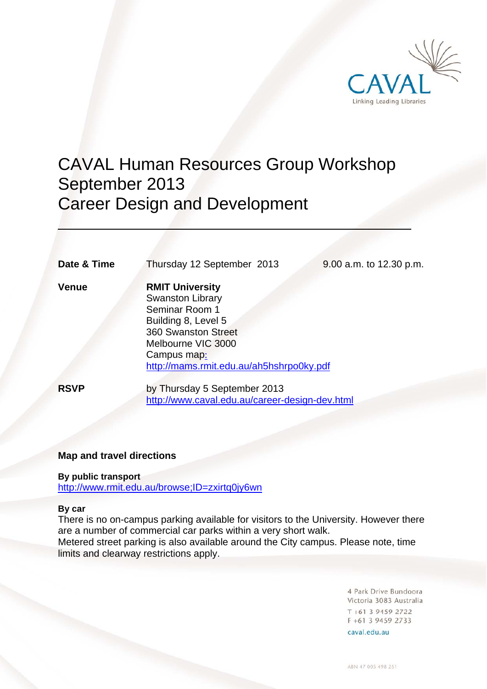

# CAVAL Human Resources Group Workshop September 2013 Career Design and Development

**Date & Time** Thursday 12 September 2013 9.00 a.m. to 12.30 p.m.

 $\overline{a}$ 

**Venue RMIT University**  Swanston Library Seminar Room 1 Building 8, Level 5 360 Swanston Street Melbourne VIC 3000 Campus map: http://mams.rmit.edu.au/ah5hshrpo0ky.pdf

**RSVP** by Thursday 5 September 2013 http://www.caval.edu.au/career-design-dev.html

### **Map and travel directions**

#### **By public transport**

http://www.rmit.edu.au/browse;ID=zxirtq0jy6wn

#### **By car**

There is no on-campus parking available for visitors to the University. However there are a number of commercial car parks within a very short walk. Metered street parking is also available around the City campus. Please note, time limits and clearway restrictions apply.

> 4 Park Drive Bundoora Victoria 3083 Australia  $T + 61$  3 9459 2722 F +61 3 9459 2733

caval.edu.au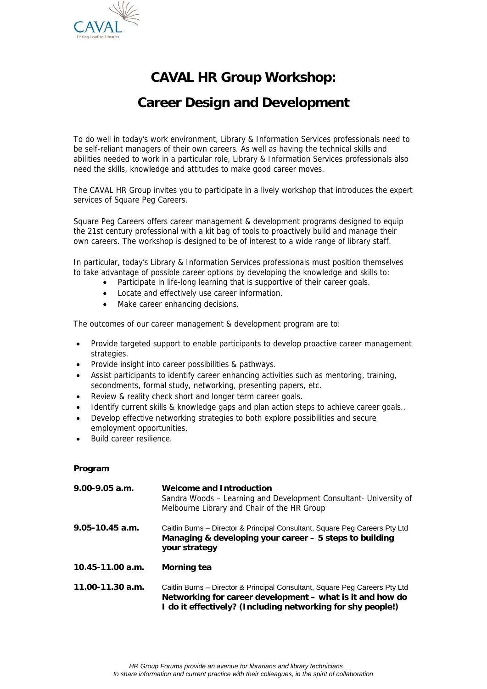

## **CAVAL HR Group Workshop:**

### **Career Design and Development**

To do well in today's work environment, Library & Information Services professionals need to be self-reliant managers of their own careers. As well as having the technical skills and abilities needed to work in a particular role, Library & Information Services professionals also need the skills, knowledge and attitudes to make good career moves.

The CAVAL HR Group invites you to participate in a lively workshop that introduces the expert services of Square Peg Careers.

Square Peg Careers offers career management & development programs designed to equip the 21st century professional with a kit bag of tools to proactively build and manage their own careers. The workshop is designed to be of interest to a wide range of library staff.

In particular, today's Library & Information Services professionals must position themselves to take advantage of possible career options by developing the knowledge and skills to:

- Participate in life-long learning that is supportive of their career goals.
	- Locate and effectively use career information.
	- Make career enhancing decisions.

The outcomes of our career management & development program are to:

- Provide targeted support to enable participants to develop proactive career management strategies.
- Provide insight into career possibilities & pathways.
- Assist participants to identify career enhancing activities such as mentoring, training, secondments, formal study, networking, presenting papers, etc.
- Review & reality check short and longer term career goals.
- Identify current skills & knowledge gaps and plan action steps to achieve career goals..
- Develop effective networking strategies to both explore possibilities and secure employment opportunities,
- Build career resilience.

#### **Program**

| $9.00 - 9.05$ a.m.   | <b>Welcome and Introduction</b><br>Sandra Woods - Learning and Development Consultant- University of<br>Melbourne Library and Chair of the HR Group                                                     |
|----------------------|---------------------------------------------------------------------------------------------------------------------------------------------------------------------------------------------------------|
| $9.05 - 10.45$ a.m.  | Caitlin Burns – Director & Principal Consultant, Square Peg Careers Pty Ltd<br>Managing & developing your career – 5 steps to building<br>your strategy                                                 |
| 10.45-11.00 a.m.     | Morning tea                                                                                                                                                                                             |
| $11.00 - 11.30$ a.m. | Caitlin Burns – Director & Principal Consultant, Square Peg Careers Pty Ltd<br>Networking for career development – what is it and how do<br>I do it effectively? (Including networking for shy people!) |